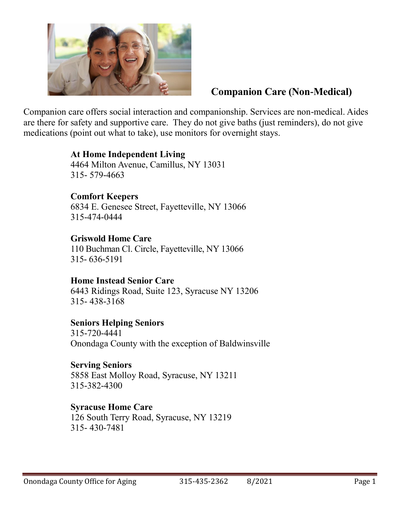

## **Companion Care (Non-Medical)**

Companion care offers social interaction and companionship. Services are non-medical. Aides are there for safety and supportive care. They do not give baths (just reminders), do not give medications (point out what to take), use monitors for overnight stays.

#### **At Home Independent Living** 4464 Milton Avenue, Camillus, NY 13031 315- 579-4663

**Comfort Keepers** 6834 E. Genesee Street, Fayetteville, NY 13066 315-474-0444

# **Griswold Home Care**

110 Buchman Cl. Circle, Fayetteville, NY 13066 315- 636-5191

### **Home Instead Senior Care**

6443 Ridings Road, Suite 123, Syracuse NY 13206 315- 438-3168

### **Seniors Helping Seniors**

315-720-4441 Onondaga County with the exception of Baldwinsville

### **Serving Seniors**

5858 East Molloy Road, Syracuse, NY 13211 315-382-4300

### **Syracuse Home Care**

126 South Terry Road, Syracuse, NY 13219 315- 430-7481